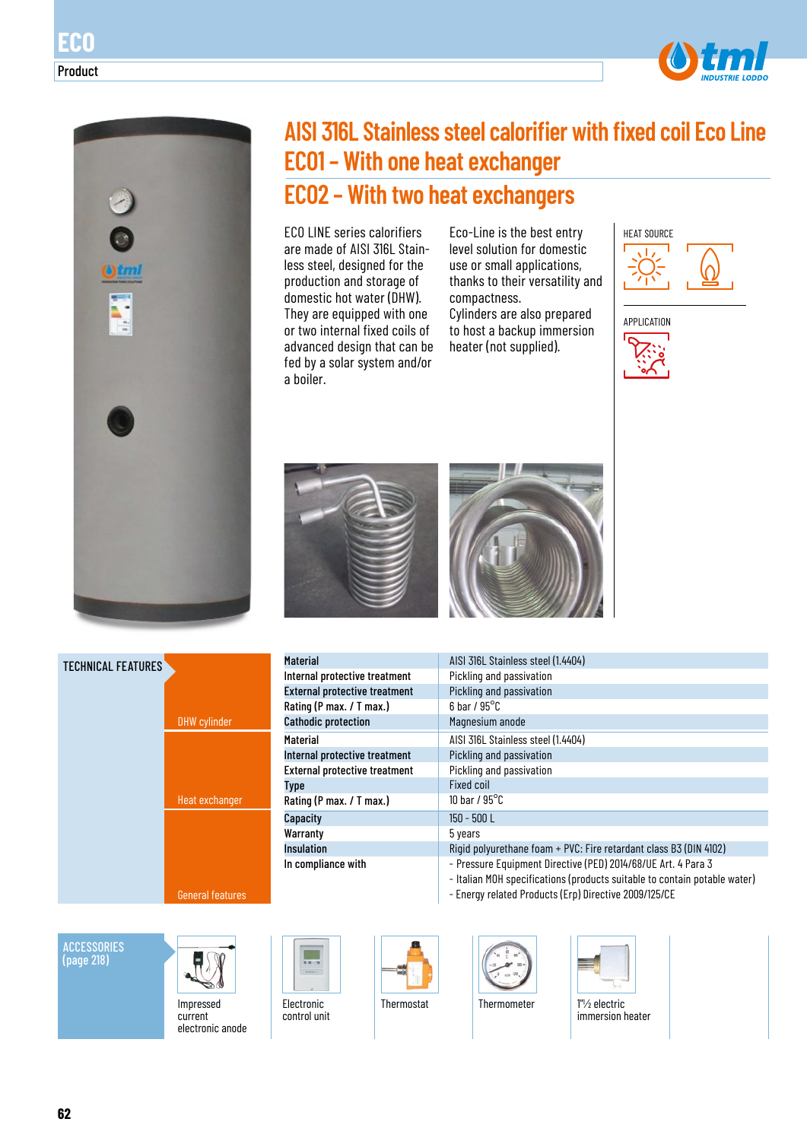



**ECO**

Product

# **AISI 316L Stainless steel calorifier with fixed coil Eco Line ECO1 – With one heat exchanger ECO2 – With two heat exchangers**

ECO LINE series calorifiers are made of AISI 316L Stainless steel, designed for the production and storage of domestic hot water (DHW). They are equipped with one or two internal fixed coils of advanced design that can be fed by a solar system and/or a boiler.

Eco-Line is the best entry level solution for domestic use or small applications, thanks to their versatility and compactness.

Cylinders are also prepared to host a backup immersion heater (not supplied).









| <b>Material</b>                      | AISI 316L Stainless steel (1.4404)                                                                                                         |
|--------------------------------------|--------------------------------------------------------------------------------------------------------------------------------------------|
| Internal protective treatment        | Pickling and passivation                                                                                                                   |
| <b>External protective treatment</b> | Pickling and passivation                                                                                                                   |
| Rating (P max. / T max.)             | $6$ bar / $95^{\circ}$ C                                                                                                                   |
| <b>Cathodic protection</b>           | Magnesium anode                                                                                                                            |
| <b>Material</b>                      | AISI 316L Stainless steel (1.4404)                                                                                                         |
| Internal protective treatment        | Pickling and passivation                                                                                                                   |
| <b>External protective treatment</b> | Pickling and passivation                                                                                                                   |
| <b>Type</b>                          | Fixed coil                                                                                                                                 |
| Rating (P max. / T max.)             | 10 bar / $95^{\circ}$ C                                                                                                                    |
| Capacity                             | $150 - 500$ L                                                                                                                              |
| Warranty                             | 5 years                                                                                                                                    |
| <b>Insulation</b>                    | Rigid polyurethane foam + PVC: Fire retardant class B3 (DIN 4102)                                                                          |
| In compliance with                   | - Pressure Equipment Directive (PED) 2014/68/UE Art. 4 Para 3<br>- Italian MOH specifications (products suitable to contain potable water) |

- Energy related Products (Erp) Directive 2009/125/CE

**ACCESSORIES** (page 218)

TECHNICAL FEATURES



DHW cylinder

Heat exchanger

General features

Impressed current electronic anode Electronic control unit





immersion heater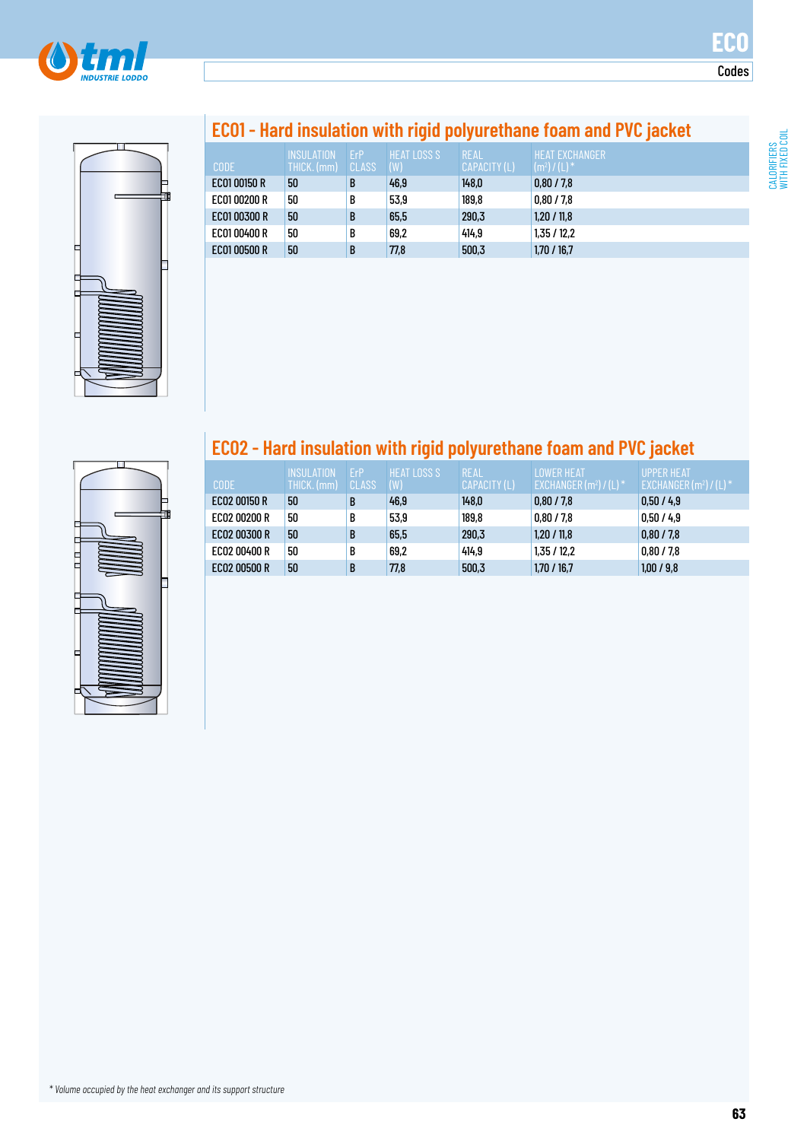



# **ECO1 - Hard insulation with rigid polyurethane foam and PVC jacket**

| <b>CODE</b>  | INSUI ATION<br>THICK. (mm) | FrP<br>CLASS | <b>HEAT LOSS S</b><br>(W) | REAL<br>CAPACITY (L) | <b>HEAT FXCHANGER</b><br>$(m^2) / (L)^*$ |
|--------------|----------------------------|--------------|---------------------------|----------------------|------------------------------------------|
| EC01 00150 R | 50                         | B            | 46,9                      | 148,0                | 0,80/7,8                                 |
| EC0100200 R  | 50                         | B            | 53,9                      | 189,8                | 0.80 / 7.8                               |
| EC0100300 R  | 50                         | B            | 65,5                      | 290,3                | 1.20 / 11.8                              |
| EC0100400 R  | 50                         | B            | 69,2                      | 414.9                | 1.35/12.2                                |
| EC0100500 R  | 50                         | B            | 77,8                      | 500,3                | 1.70 / 16.7                              |

# E

## **ECO2 - Hard insulation with rigid polyurethane foam and PVC jacket**

| <b>CODE</b>  | <b>INSULATION</b><br>THICK. (mm) | FrP<br><b>CLASS</b> | <b>HEAT LOSS S</b><br>(W) | REAL<br>CAPACITY (L) | <b>I OWER HEAT</b><br>EXCHANGER (m <sup>2</sup> ) / (L) * ' | <b>UPPFR HFAT</b><br>$EXCHANGER(m2)/(L)$ * |
|--------------|----------------------------------|---------------------|---------------------------|----------------------|-------------------------------------------------------------|--------------------------------------------|
| EC02 00150 R | 50                               | B                   | 46,9                      | 148,0                | 0,80/7,8                                                    | 0,50/4,9                                   |
| EC02 00200 R | 50                               | B                   | 53,9                      | 189,8                | 0,80/7,8                                                    | 0.50 / 4.9                                 |
| EC02 00300 R | 50                               | B                   | 65,5                      | 290,3                | 1,20/11,8                                                   | 0,80/7,8                                   |
| EC02 00400 R | 50                               | B                   | 69,2                      | 414.9                | 1,35/12,2                                                   | 0,80/7,8                                   |
| EC02 00500 R | 50                               | B                   | 77,8                      | 500,3                | 1,70/16,7                                                   | 1,00/9,8                                   |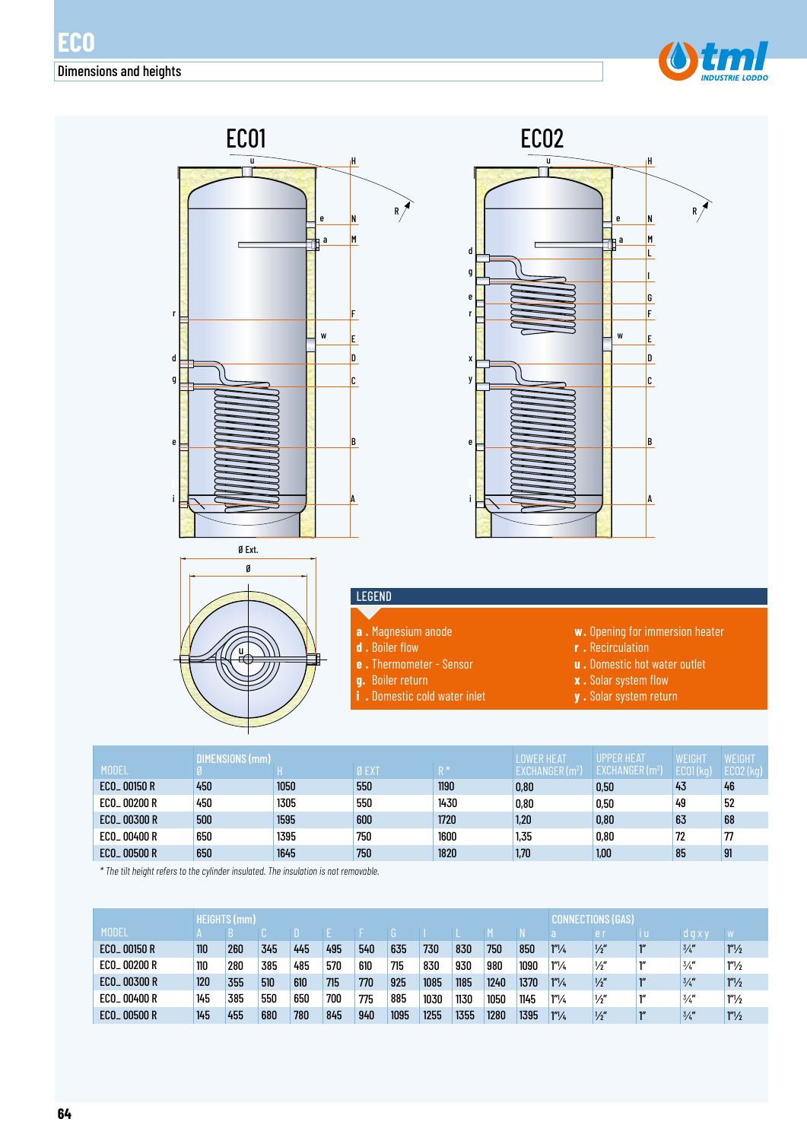



|                         | (mm) |      |       |                | <b>OWER HEAT</b> | <b>UPPER HEAT</b>          | WEIGHT   | WEIGHT |
|-------------------------|------|------|-------|----------------|------------------|----------------------------|----------|--------|
| <b>MODEL</b>            |      |      | Ø EXT | D <sup>*</sup> | EXCHANGER (m²)   | EXCHANGER(m <sup>2</sup> ) | EC01(kg) | ECO2 ( |
| ECO <sub>-00150</sub> R | 450  | 1050 | 550   | 1190           | 0.80             | 0,50                       | 43       | 46     |
| ECO_ 00200 R            | 450  | 1305 | 550   | 1430           | 0.80             | 0,50                       | 49       | 52     |
| ECO <sub>-00300</sub> R | 500  | 1595 | 600   | 1720           | 1,20             | 0,80                       | 63       | 68     |
| ECO <sub>-00400</sub> R | 650  | 1395 | 750   | 1600           | 1,35             | 0,80                       | 72       | 77     |
| ECO <sub>-00500</sub> R | 650  | 1645 | 750   | 1820           | 1,70             | 1,00                       | 85       | 91     |

*\* The tilt height refers to the cylinder insulated. The insulation is not removable.*

|                          |     | <b>HEIGHTS</b> (mm) |     |     |     |     |      |      |      |      |      | CONI             | NECTIONS (GAS), |               |                   |
|--------------------------|-----|---------------------|-----|-----|-----|-----|------|------|------|------|------|------------------|-----------------|---------------|-------------------|
| <b>MODEL</b>             |     |                     |     |     |     |     |      |      |      |      |      |                  | e r             | 'd g x y      |                   |
| ECO <sub>-00150</sub> R  | 110 | 260                 | 345 | 445 | 495 | 540 | 635  | 730  | 830  | 750  | 850  | $1''\frac{1}{4}$ | $\frac{1}{2}$   | 3/4           | $1''\frac{1}{2}$  |
| ECO_ 00200 R             | 110 | 280                 | 385 | 485 | 570 | 610 | 715  | 830  | 930  | 980  | 1090 | $1''\frac{1}{4}$ | $\frac{1}{2}$   | $\frac{3}{4}$ | 1 <sup>n</sup> /2 |
| ECO <sub>-00300</sub> R  | 120 | 355                 | 510 | 610 | 715 | 770 | 925  | 1085 | 1185 | 1240 | 1370 | $1''\frac{1}{4}$ | $\frac{1}{2}$   | 3/4           | $1''\frac{1}{2}$  |
| ECO <sub>-00400</sub> R  | 145 | 385                 | 550 | 650 | 700 | 775 | 885  | 1030 | 1130 | 1050 | 1145 | $1''\frac{1}{4}$ | $\frac{1}{2}$   | $\frac{3}{4}$ | 1 <sup>n</sup> /2 |
| ECO <sub>-</sub> 00500 R | 145 | 455                 | 680 | 780 | 845 | 940 | 1095 | 1255 | 1355 | 1280 | 1395 | $1''\frac{1}{4}$ | $\frac{1}{2}$   | 3/4           | $1''\frac{1}{2}$  |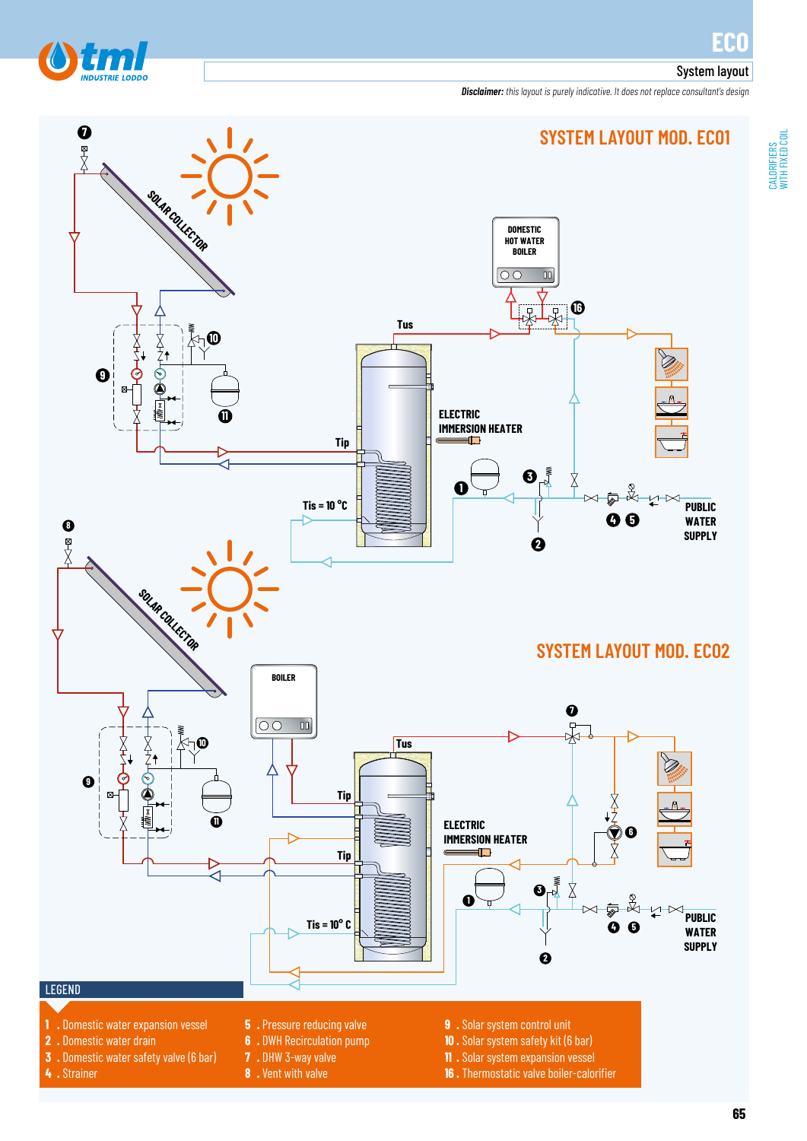### System layout

d

*Disclaimer: this layout is purely indicative. It does not replace consultant's design*

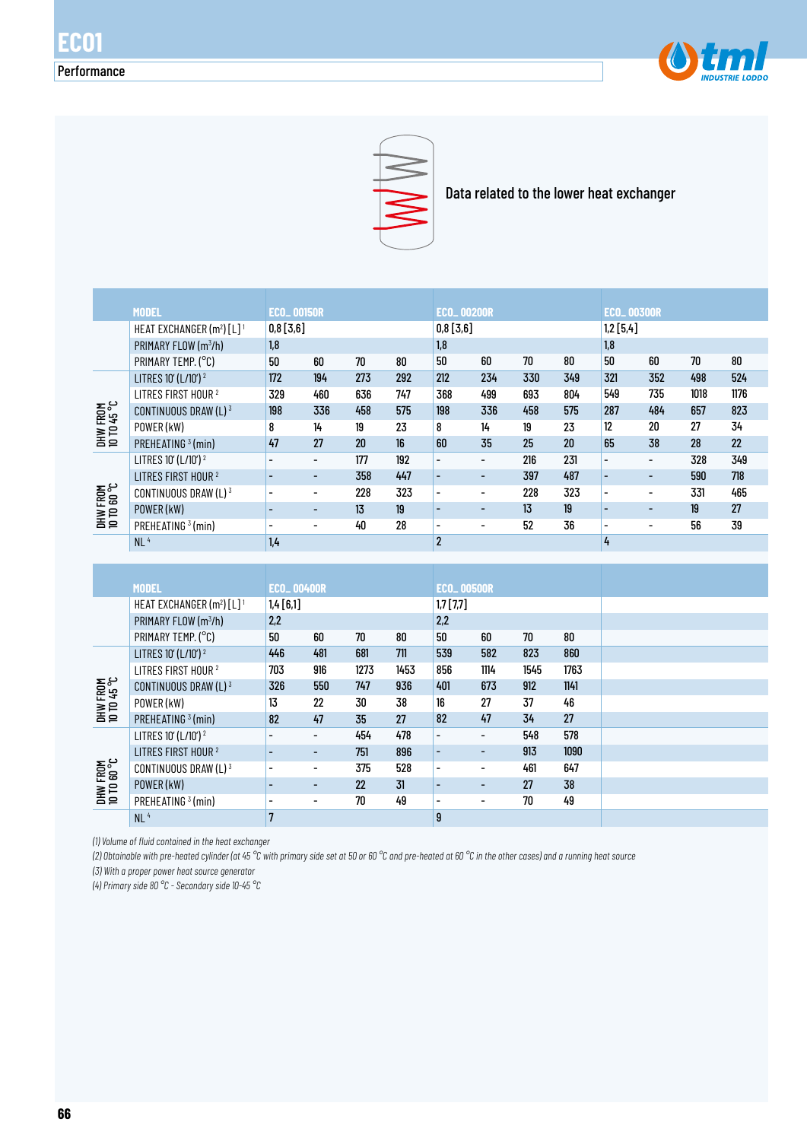



Data related to the lower heat exchanger

|                         | <b>MODEL</b>                                      | <b>ECO_00150R</b> |                          |     |     | <b>ECO_00200R</b>        |                          |     |     | <b>ECO_00300R</b>        |                          |      |      |
|-------------------------|---------------------------------------------------|-------------------|--------------------------|-----|-----|--------------------------|--------------------------|-----|-----|--------------------------|--------------------------|------|------|
|                         | HEAT EXCHANGER (m <sup>2</sup> ) [L] <sup>1</sup> | 0,8[3,6]          |                          |     |     | 0,8[3,6]                 |                          |     |     | 1,2 [5,4]                |                          |      |      |
|                         | PRIMARY FLOW (m <sup>3</sup> /h)                  | 1,8               |                          |     |     | 1,8                      |                          |     |     | 1.8                      |                          |      |      |
|                         | PRIMARY TEMP. (°C)                                | 50                | 60                       | 70  | 80  | 50                       | 60                       | 70  | 80  | 50                       | 60                       | 70   | 80   |
|                         | LITRES 10' (L/10') <sup>2</sup>                   | 172               | 194                      | 273 | 292 | 212                      | 234                      | 330 | 349 | 321                      | 352                      | 498  | 524  |
|                         | LITRES FIRST HOUR <sup>2</sup>                    | 329               | 460                      | 636 | 747 | 368                      | 499                      | 693 | 804 | 549                      | 735                      | 1018 | 1176 |
| DHW FROM<br>10 TO 45 °C | CONTINUOUS DRAW (L) 3                             | 198               | 336                      | 458 | 575 | 198                      | 336                      | 458 | 575 | 287                      | 484                      | 657  | 823  |
|                         | POWER (kW)                                        | 8                 | 14                       | 19  | 23  | 8                        | 14                       | 19  | 23  | 12                       | 20                       | 27   | 34   |
|                         | PREHEATING <sup>3</sup> (min)                     | 47                | 27                       | 20  | 16  | 60                       | 35                       | 25  | 20  | 65                       | 38                       | 28   | 22   |
|                         | LITRES 10' (L/10') <sup>2</sup>                   |                   | $\overline{\phantom{a}}$ | 177 | 192 | $\overline{\phantom{a}}$ | $\overline{\phantom{a}}$ | 216 | 231 | $\overline{\phantom{0}}$ | $\overline{\phantom{0}}$ | 328  | 349  |
|                         | LITRES FIRST HOUR <sup>2</sup>                    |                   | $\overline{\phantom{0}}$ | 358 | 447 | $\blacksquare$           | -                        | 397 | 487 | $\blacksquare$           | -                        | 590  | 718  |
| DHW FROM<br>10 TO 60 °C | CONTINUOUS DRAW (L) 3                             |                   |                          | 228 | 323 | $\overline{\phantom{a}}$ | $\overline{\phantom{a}}$ | 228 | 323 | $\overline{\phantom{0}}$ |                          | 331  | 465  |
|                         | POWER (kW)                                        |                   | $\overline{\phantom{0}}$ | 13  | 19  | $\overline{\phantom{0}}$ | $\overline{\phantom{0}}$ | 13  | 19  |                          |                          | 19   | 27   |
|                         | PREHEATING <sup>3</sup> (min)                     |                   |                          | 40  | 28  | $\overline{\phantom{a}}$ | $\overline{\phantom{a}}$ | 52  | 36  | -                        | $\overline{\phantom{0}}$ | 56   | 39   |
|                         | NL <sup>4</sup>                                   | 1.4               |                          |     |     | $\overline{2}$           |                          |     |     | 4                        |                          |      |      |

|                         | <b>MODEL</b>                                      | <b>ECO_00400R</b> |                          |      |      | <b>ECO_00500R</b>        |                          |      |      |  |
|-------------------------|---------------------------------------------------|-------------------|--------------------------|------|------|--------------------------|--------------------------|------|------|--|
|                         | HEAT EXCHANGER (m <sup>2</sup> ) [L] <sup>1</sup> | 1,4 [6,1]         |                          |      |      | $1,7$ [7,7]              |                          |      |      |  |
|                         | PRIMARY FLOW (m <sup>3</sup> /h)                  | 2,2               |                          |      |      | 2,2                      |                          |      |      |  |
|                         | PRIMARY TEMP. (°C)                                | 50                | 60                       | 70   | 80   | 50                       | 60                       | 70   | 80   |  |
|                         | LITRES 10' (L/10') <sup>2</sup>                   | 446               | 481                      | 681  | 711  | 539                      | 582                      | 823  | 860  |  |
|                         | LITRES FIRST HOUR <sup>2</sup>                    | 703               | 916                      | 1273 | 1453 | 856                      | 1114                     | 1545 | 1763 |  |
| DHW FROM<br>10 TO 45 °C | CONTINUOUS DRAW (L) $3$                           | 326               | 550                      | 747  | 936  | 401                      | 673                      | 912  | 1141 |  |
|                         | POWER (kW)                                        | 13                | 22                       | 30   | 38   | 16                       | 27                       | 37   | 46   |  |
|                         | PREHEATING <sup>3</sup> (min)                     | 82                | 47                       | 35   | 27   | 82                       | 47                       | 34   | 27   |  |
|                         | LITRES 10' (L/10') <sup>2</sup>                   |                   | $\overline{\phantom{a}}$ | 454  | 478  | $\blacksquare$           | $\overline{\phantom{0}}$ | 548  | 578  |  |
|                         | LITRES FIRST HOUR <sup>2</sup>                    |                   | $\blacksquare$           | 751  | 896  | ۰                        | ٠                        | 913  | 1090 |  |
|                         | CONTINUOUS DRAW (L) $3$                           |                   | $\overline{\phantom{a}}$ | 375  | 528  | $\overline{\phantom{a}}$ | $\overline{\phantom{0}}$ | 461  | 647  |  |
| DHW FROM<br>10 TD 60 °C | POWER (kW)                                        |                   | $\overline{\phantom{a}}$ | 22   | 31   | ۰                        | $\overline{\phantom{0}}$ | 27   | 38   |  |
|                         | PREHEATING <sup>3</sup> (min)                     |                   | $\overline{\phantom{a}}$ | 70   | 49   | $\overline{\phantom{a}}$ | ٠                        | 70   | 49   |  |
|                         | NL <sup>4</sup>                                   | $\overline{7}$    |                          |      |      | 9                        |                          |      |      |  |

*(1) Volume of fluid contained in the heat exchanger*

*(2) Obtainable with pre-heated cylinder (at 45 °C with primary side set at 50 or 60 °C and pre-heated at 60 °C in the other cases) and a running heat source*

*(3) With a proper power heat source generator*

*(4) Primary side 80 °C - Secondary side 10-45 °C*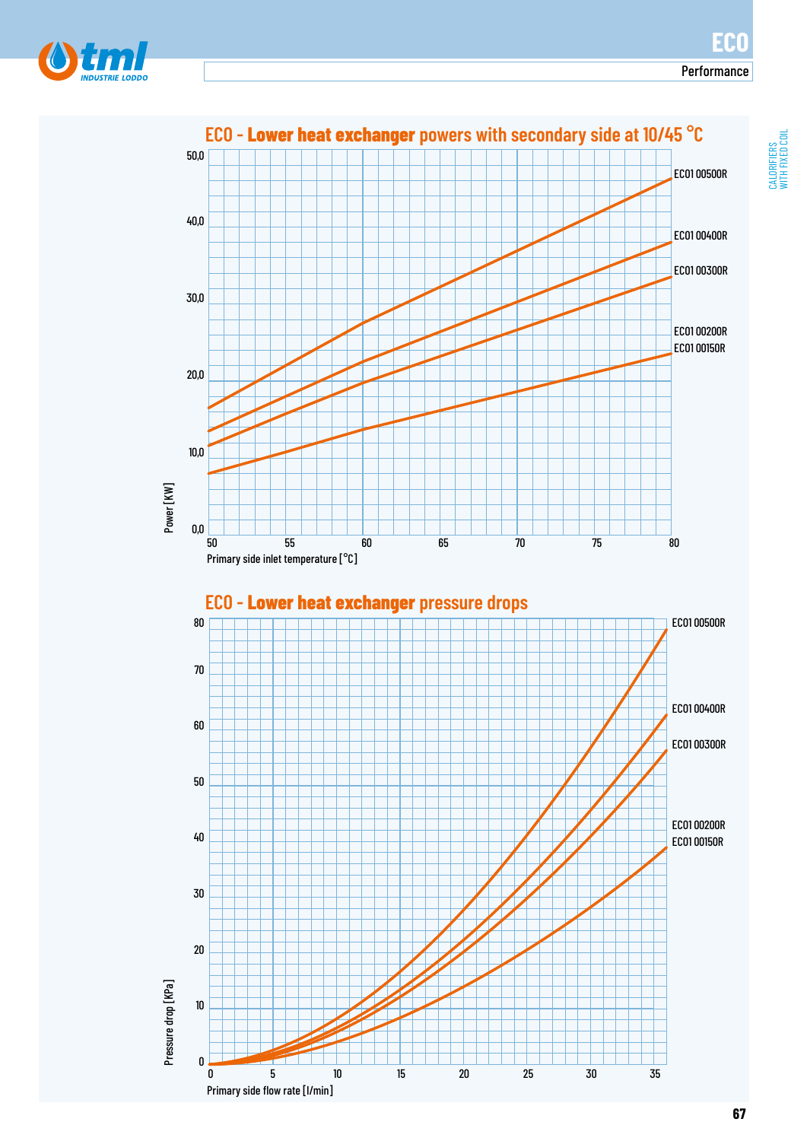Performance



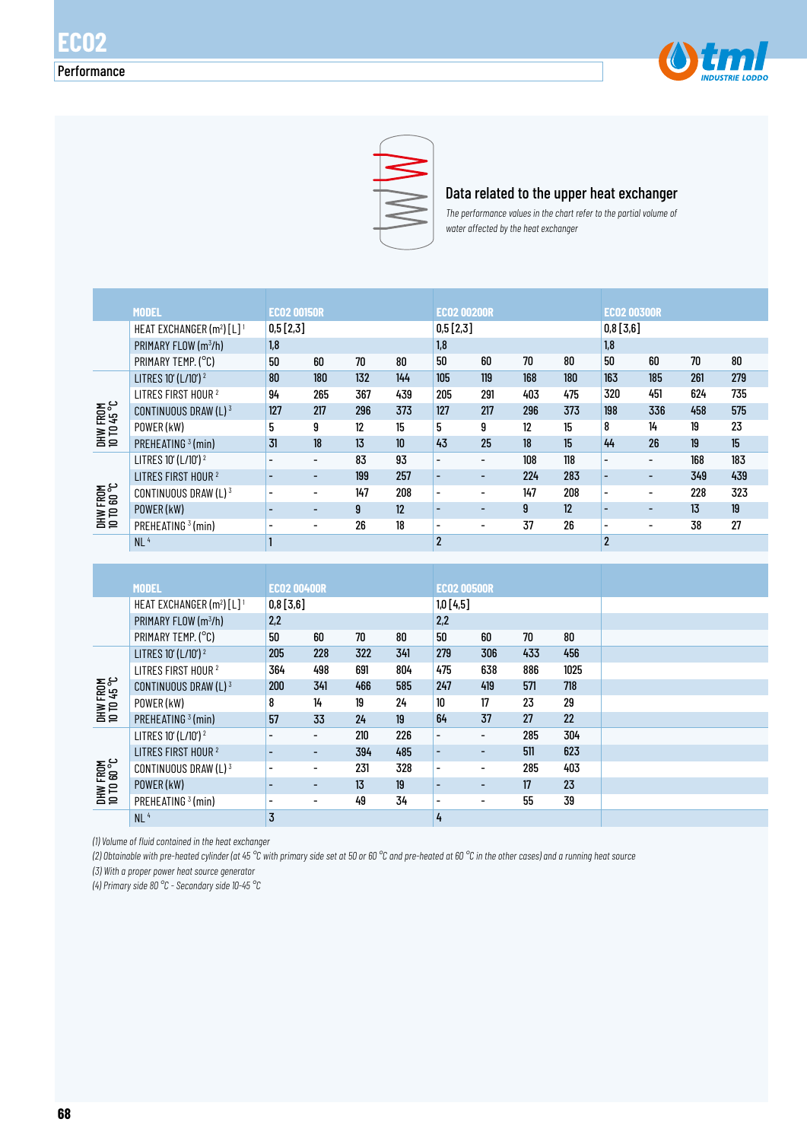



### Data related to the upper heat exchanger

*The performance values in the chart refer to the partial volume of water affected by the heat exchanger* 

|                         | <b>MODEL</b>                            | <b>EC02 00150R</b> |                          |     |                  | <b>EC02 00200R</b>       |                          |     |     | <b>EC02 00300R</b>       |                          |     |     |
|-------------------------|-----------------------------------------|--------------------|--------------------------|-----|------------------|--------------------------|--------------------------|-----|-----|--------------------------|--------------------------|-----|-----|
|                         | HEAT EXCHANGER $(m^2)$ [L] <sup>1</sup> | 0,5[2,3]           |                          |     |                  | 0,5[2,3]                 |                          |     |     | 0,8[3,6]                 |                          |     |     |
|                         | PRIMARY FLOW (m <sup>3</sup> /h)        | 1.8                |                          |     |                  | 1.8                      |                          |     |     | 1.8                      |                          |     |     |
|                         | PRIMARY TEMP. (°C)                      | 50                 | 60                       | 70  | 80               | 50                       | 60                       | 70  | 80  | 50                       | 60                       | 70  | 80  |
|                         | LITRES 10' (L/10') <sup>2</sup>         | 80                 | 180                      | 132 | 144              | 105                      | 119                      | 168 | 180 | 163                      | 185                      | 261 | 279 |
|                         | LITRES FIRST HOUR <sup>2</sup>          | 94                 | 265                      | 367 | 439              | 205                      | 291                      | 403 | 475 | 320                      | 451                      | 624 | 735 |
| DHW FROM<br>10 TD 45 °C | CONTINUOUS DRAW (L) 3                   | 127                | 217                      | 296 | 373              | 127                      | 217                      | 296 | 373 | 198                      | 336                      | 458 | 575 |
|                         | POWER (kW)                              | 5                  | 9                        | 12  | 15               | 5                        | 9                        | 12  | 15  | 8                        | 14                       | 19  | 23  |
|                         | PREHEATING <sup>3</sup> (min)           | 31                 | 18                       | 13  | 10 <sup>10</sup> | 43                       | 25                       | 18  | 15  | 44                       | 26                       | 19  | 15  |
|                         | LITRES 10' (L/10') <sup>2</sup>         |                    | -                        | 83  | 93               | $\overline{\phantom{a}}$ | $\overline{\phantom{a}}$ | 108 | 118 |                          |                          | 168 | 183 |
|                         | LITRES FIRST HOUR <sup>2</sup>          |                    | $\overline{\phantom{a}}$ | 199 | 257              | $\blacksquare$           | ۰                        | 224 | 283 | $\blacksquare$           | $\overline{\phantom{0}}$ | 349 | 439 |
| DHW FROM<br>10 TO 60 °C | CONTINUOUS DRAW (L) $3$                 |                    |                          | 147 | 208              | $\overline{\phantom{a}}$ | $\overline{\phantom{0}}$ | 147 | 208 |                          |                          | 228 | 323 |
|                         | POWER (kW)                              |                    | $\overline{\phantom{0}}$ | 9   | 12               | $\overline{\phantom{a}}$ | $\overline{\phantom{0}}$ | 9   | 12  |                          | $\overline{\phantom{0}}$ | 13  | 19  |
|                         | PREHEATING <sup>3</sup> (min)           |                    | -                        | 26  | 18               | $\overline{\phantom{a}}$ | $\overline{\phantom{0}}$ | 37  | 26  | $\overline{\phantom{0}}$ | ٠                        | 38  | 27  |
|                         | NL <sup>4</sup>                         |                    |                          |     |                  | $\overline{2}$           |                          |     |     | $\overline{2}$           |                          |     |     |

|                         | <b>MODEL</b>                                      | <b>EC02 00400R</b> |                          |     |     | <b>EC02 00500R</b>       |                          |     |      |  |
|-------------------------|---------------------------------------------------|--------------------|--------------------------|-----|-----|--------------------------|--------------------------|-----|------|--|
|                         | HEAT EXCHANGER (m <sup>2</sup> ) [L] <sup>1</sup> | 1,0[4,5]           |                          |     |     |                          |                          |     |      |  |
|                         | 2,2<br>PRIMARY FLOW (m <sup>3</sup> /h)<br>2,2    |                    |                          |     |     |                          |                          |     |      |  |
|                         | PRIMARY TEMP. (°C)                                | 50                 | 60                       | 70  | 80  | 50                       | 60                       | 70  | 80   |  |
|                         | LITRES 10' (L/10') <sup>2</sup>                   | 205                | 228                      | 322 | 341 | 279                      | 306                      | 433 | 456  |  |
| DHW FROM<br>10 TO 45 °C | LITRES FIRST HOUR <sup>2</sup>                    | 364                | 498                      | 691 | 804 | 475                      | 638                      | 886 | 1025 |  |
|                         | CONTINUOUS DRAW (L) $3$                           | 200                | 341                      | 466 | 585 | 247                      | 419                      | 571 | 718  |  |
|                         | POWER (kW)                                        | 8                  | 14                       | 19  | 24  | 10                       | 17                       | 23  | 29   |  |
|                         | PREHEATING <sup>3</sup> (min)                     | 57                 | 33                       | 24  | 19  | 64                       | 37                       | 27  | 22   |  |
|                         | LITRES 10' (L/10') <sup>2</sup>                   |                    | $\overline{\phantom{a}}$ | 210 | 226 | $\overline{\phantom{a}}$ | $\overline{\phantom{0}}$ | 285 | 304  |  |
|                         | LITRES FIRST HOUR <sup>2</sup>                    |                    | $\overline{\phantom{0}}$ | 394 | 485 | ۰                        | ۰                        | 511 | 623  |  |
|                         | CONTINUOUS DRAW (L) $3$                           |                    | $\overline{\phantom{a}}$ | 231 | 328 | $\overline{\phantom{a}}$ | $\overline{\phantom{a}}$ | 285 | 403  |  |
| DHW FROM<br>10 TO 60 °C | POWER (kW)                                        |                    | $\overline{\phantom{0}}$ | 13  | 19  | ۰                        | $\overline{\phantom{0}}$ | 17  | 23   |  |
|                         | PREHEATING <sup>3</sup> (min)                     |                    | $\overline{\phantom{a}}$ | 49  | 34  | $\overline{\phantom{a}}$ | -                        | 55  | 39   |  |
|                         | NL <sup>4</sup>                                   | $\overline{3}$     |                          |     |     | $\pmb{4}$                |                          |     |      |  |

*(1) Volume of fluid contained in the heat exchanger*

*(2) Obtainable with pre-heated cylinder (at 45 °C with primary side set at 50 or 60 °C and pre-heated at 60 °C in the other cases) and a running heat source*

*(3) With a proper power heat source generator*

*(4) Primary side 80 °C - Secondary side 10-45 °C*